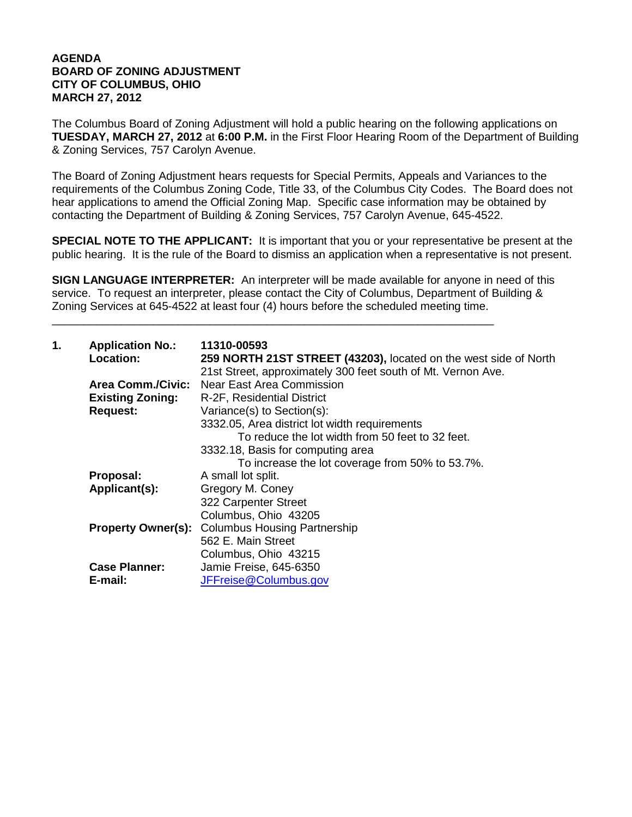## **AGENDA BOARD OF ZONING ADJUSTMENT CITY OF COLUMBUS, OHIO MARCH 27, 2012**

The Columbus Board of Zoning Adjustment will hold a public hearing on the following applications on **TUESDAY, MARCH 27, 2012** at **6:00 P.M.** in the First Floor Hearing Room of the Department of Building & Zoning Services, 757 Carolyn Avenue.

The Board of Zoning Adjustment hears requests for Special Permits, Appeals and Variances to the requirements of the Columbus Zoning Code, Title 33, of the Columbus City Codes. The Board does not hear applications to amend the Official Zoning Map. Specific case information may be obtained by contacting the Department of Building & Zoning Services, 757 Carolyn Avenue, 645-4522.

**SPECIAL NOTE TO THE APPLICANT:** It is important that you or your representative be present at the public hearing. It is the rule of the Board to dismiss an application when a representative is not present.

**SIGN LANGUAGE INTERPRETER:** An interpreter will be made available for anyone in need of this service. To request an interpreter, please contact the City of Columbus, Department of Building & Zoning Services at 645-4522 at least four (4) hours before the scheduled meeting time.

\_\_\_\_\_\_\_\_\_\_\_\_\_\_\_\_\_\_\_\_\_\_\_\_\_\_\_\_\_\_\_\_\_\_\_\_\_\_\_\_\_\_\_\_\_\_\_\_\_\_\_\_\_\_\_\_\_\_\_\_\_\_\_\_\_\_\_\_\_\_

| 1.<br><b>Application No.:</b><br>Location: |                                                       | 11310-00593<br>259 NORTH 21ST STREET (43203), located on the west side of North |
|--------------------------------------------|-------------------------------------------------------|---------------------------------------------------------------------------------|
|                                            |                                                       | 21st Street, approximately 300 feet south of Mt. Vernon Ave.                    |
|                                            | <b>Area Comm./Civic:</b>                              | Near East Area Commission                                                       |
|                                            | <b>Existing Zoning:</b><br>R-2F, Residential District |                                                                                 |
|                                            | <b>Request:</b>                                       | Variance(s) to Section(s):                                                      |
|                                            |                                                       | 3332.05, Area district lot width requirements                                   |
|                                            |                                                       | To reduce the lot width from 50 feet to 32 feet.                                |
|                                            |                                                       | 3332.18, Basis for computing area                                               |
|                                            |                                                       | To increase the lot coverage from 50% to 53.7%.                                 |
|                                            | Proposal:                                             | A small lot split.                                                              |
|                                            | Applicant(s):                                         | Gregory M. Coney                                                                |
|                                            |                                                       | 322 Carpenter Street                                                            |
|                                            |                                                       | Columbus, Ohio 43205                                                            |
|                                            | <b>Property Owner(s):</b>                             | <b>Columbus Housing Partnership</b>                                             |
|                                            |                                                       | 562 E. Main Street                                                              |
|                                            |                                                       | Columbus, Ohio 43215                                                            |
|                                            | <b>Case Planner:</b>                                  | Jamie Freise, 645-6350                                                          |
|                                            | E-mail:                                               | JFFreise@Columbus.gov                                                           |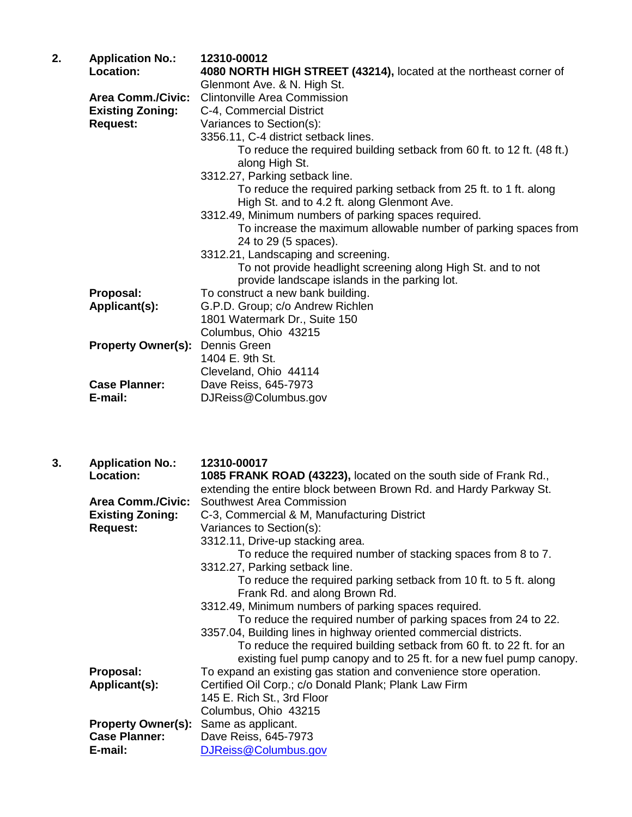| 2.<br><b>Application No.:</b><br>12310-00012 |                           |                                                                                                               |
|----------------------------------------------|---------------------------|---------------------------------------------------------------------------------------------------------------|
|                                              | Location:                 | 4080 NORTH HIGH STREET (43214), located at the northeast corner of                                            |
|                                              |                           | Glenmont Ave. & N. High St.                                                                                   |
|                                              | <b>Area Comm./Civic:</b>  | <b>Clintonville Area Commission</b>                                                                           |
|                                              | <b>Existing Zoning:</b>   | C-4, Commercial District                                                                                      |
|                                              | <b>Request:</b>           | Variances to Section(s):                                                                                      |
|                                              |                           | 3356.11, C-4 district setback lines.                                                                          |
|                                              |                           | To reduce the required building setback from 60 ft. to 12 ft. (48 ft.)<br>along High St.                      |
|                                              |                           | 3312.27, Parking setback line.                                                                                |
|                                              |                           | To reduce the required parking setback from 25 ft. to 1 ft. along                                             |
|                                              |                           | High St. and to 4.2 ft. along Glenmont Ave.                                                                   |
|                                              |                           | 3312.49, Minimum numbers of parking spaces required.                                                          |
|                                              |                           | To increase the maximum allowable number of parking spaces from                                               |
|                                              |                           | 24 to 29 (5 spaces).                                                                                          |
|                                              |                           | 3312.21, Landscaping and screening.                                                                           |
|                                              |                           | To not provide headlight screening along High St. and to not<br>provide landscape islands in the parking lot. |
|                                              | Proposal:                 | To construct a new bank building.                                                                             |
|                                              | Applicant(s):             | G.P.D. Group; c/o Andrew Richlen                                                                              |
|                                              |                           | 1801 Watermark Dr., Suite 150                                                                                 |
|                                              |                           | Columbus, Ohio 43215                                                                                          |
|                                              | <b>Property Owner(s):</b> | Dennis Green                                                                                                  |
|                                              |                           | 1404 E. 9th St.                                                                                               |
|                                              |                           | Cleveland, Ohio 44114                                                                                         |
|                                              | <b>Case Planner:</b>      | Dave Reiss, 645-7973                                                                                          |
|                                              | E-mail:                   | DJReiss@Columbus.gov                                                                                          |
|                                              |                           |                                                                                                               |

| 3. | <b>Application No.:</b>   | 12310-00017                                                          |  |
|----|---------------------------|----------------------------------------------------------------------|--|
|    | Location:                 | 1085 FRANK ROAD (43223), located on the south side of Frank Rd.,     |  |
|    |                           | extending the entire block between Brown Rd. and Hardy Parkway St.   |  |
|    | <b>Area Comm./Civic:</b>  | Southwest Area Commission                                            |  |
|    | <b>Existing Zoning:</b>   | C-3, Commercial & M, Manufacturing District                          |  |
|    | <b>Request:</b>           | Variances to Section(s):                                             |  |
|    |                           | 3312.11, Drive-up stacking area.                                     |  |
|    |                           | To reduce the required number of stacking spaces from 8 to 7.        |  |
|    |                           | 3312.27, Parking setback line.                                       |  |
|    |                           | To reduce the required parking setback from 10 ft. to 5 ft. along    |  |
|    |                           | Frank Rd. and along Brown Rd.                                        |  |
|    |                           | 3312.49, Minimum numbers of parking spaces required.                 |  |
|    |                           | To reduce the required number of parking spaces from 24 to 22.       |  |
|    |                           | 3357.04, Building lines in highway oriented commercial districts.    |  |
|    |                           | To reduce the required building setback from 60 ft. to 22 ft. for an |  |
|    |                           | existing fuel pump canopy and to 25 ft. for a new fuel pump canopy.  |  |
|    | Proposal:                 | To expand an existing gas station and convenience store operation.   |  |
|    | Applicant(s):             | Certified Oil Corp.; c/o Donald Plank; Plank Law Firm                |  |
|    |                           | 145 E. Rich St., 3rd Floor                                           |  |
|    |                           | Columbus, Ohio 43215                                                 |  |
|    | <b>Property Owner(s):</b> | Same as applicant.                                                   |  |
|    | <b>Case Planner:</b>      | Dave Reiss, 645-7973                                                 |  |
|    | E-mail:                   | DJReiss@Columbus.gov                                                 |  |
|    |                           |                                                                      |  |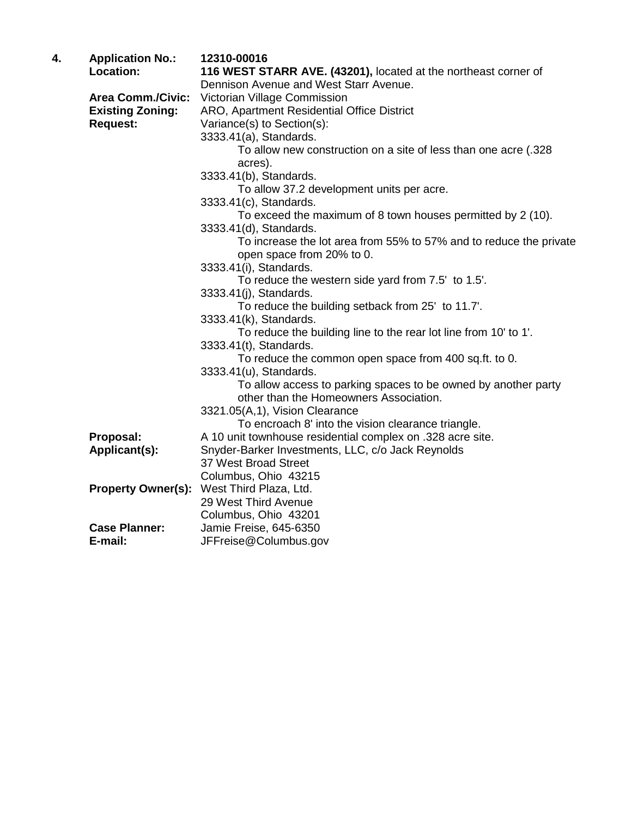| 4. | <b>Application No.:</b><br>Location:                                   | 12310-00016<br>116 WEST STARR AVE. (43201), located at the northeast corner of<br>Dennison Avenue and West Starr Avenue.                                                                               |
|----|------------------------------------------------------------------------|--------------------------------------------------------------------------------------------------------------------------------------------------------------------------------------------------------|
|    | <b>Area Comm./Civic:</b><br><b>Existing Zoning:</b><br><b>Request:</b> | Victorian Village Commission<br>ARO, Apartment Residential Office District<br>Variance(s) to Section(s):<br>3333.41(a), Standards.<br>To allow new construction on a site of less than one acre (.328) |
|    |                                                                        | acres).<br>3333.41(b), Standards.                                                                                                                                                                      |
|    |                                                                        | To allow 37.2 development units per acre.<br>3333.41(c), Standards.                                                                                                                                    |
|    |                                                                        | To exceed the maximum of 8 town houses permitted by 2 (10).<br>3333.41(d), Standards.                                                                                                                  |
|    |                                                                        | To increase the lot area from 55% to 57% and to reduce the private<br>open space from 20% to 0.                                                                                                        |
|    |                                                                        | 3333.41(i), Standards.<br>To reduce the western side yard from 7.5' to 1.5'.<br>3333.41(j), Standards.                                                                                                 |
|    |                                                                        | To reduce the building setback from 25' to 11.7'.<br>3333.41(k), Standards.                                                                                                                            |
|    |                                                                        | To reduce the building line to the rear lot line from 10' to 1'.<br>3333.41(t), Standards.                                                                                                             |
|    |                                                                        | To reduce the common open space from 400 sq.ft. to 0.<br>3333.41(u), Standards.                                                                                                                        |
|    |                                                                        | To allow access to parking spaces to be owned by another party<br>other than the Homeowners Association.                                                                                               |
|    |                                                                        | 3321.05(A,1), Vision Clearance<br>To encroach 8' into the vision clearance triangle.                                                                                                                   |
|    | Proposal:                                                              | A 10 unit townhouse residential complex on .328 acre site.                                                                                                                                             |
|    | Applicant(s):                                                          | Snyder-Barker Investments, LLC, c/o Jack Reynolds                                                                                                                                                      |
|    |                                                                        | 37 West Broad Street                                                                                                                                                                                   |
|    |                                                                        | Columbus, Ohio 43215<br>Property Owner(s): West Third Plaza, Ltd.<br>29 West Third Avenue                                                                                                              |
|    | <b>Case Planner:</b><br>E-mail:                                        | Columbus, Ohio 43201<br>Jamie Freise, 645-6350<br>JFFreise@Columbus.gov                                                                                                                                |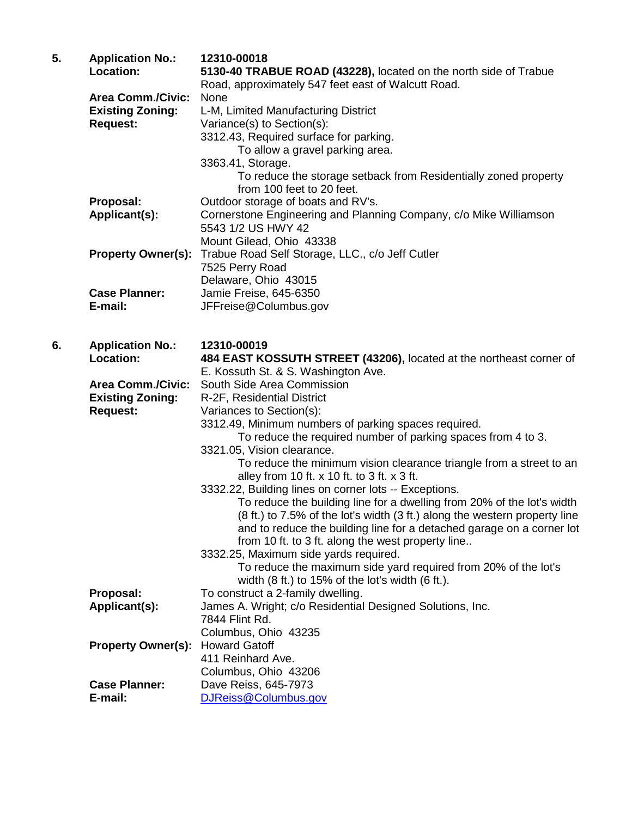| 5. | <b>Application No.:</b><br><b>Location:</b> | 12310-00018<br>5130-40 TRABUE ROAD (43228), located on the north side of Trabue                                                         |  |
|----|---------------------------------------------|-----------------------------------------------------------------------------------------------------------------------------------------|--|
|    |                                             | Road, approximately 547 feet east of Walcutt Road.                                                                                      |  |
|    | <b>Area Comm./Civic:</b>                    | None                                                                                                                                    |  |
|    | <b>Existing Zoning:</b>                     | L-M, Limited Manufacturing District                                                                                                     |  |
|    | <b>Request:</b>                             | Variance(s) to Section(s):                                                                                                              |  |
|    |                                             | 3312.43, Required surface for parking.                                                                                                  |  |
|    |                                             | To allow a gravel parking area.                                                                                                         |  |
|    |                                             | 3363.41, Storage.                                                                                                                       |  |
|    |                                             | To reduce the storage setback from Residentially zoned property<br>from 100 feet to 20 feet.                                            |  |
|    | Proposal:                                   | Outdoor storage of boats and RV's.                                                                                                      |  |
|    | Applicant(s):                               | Cornerstone Engineering and Planning Company, c/o Mike Williamson                                                                       |  |
|    |                                             | 5543 1/2 US HWY 42                                                                                                                      |  |
|    |                                             | Mount Gilead, Ohio 43338                                                                                                                |  |
|    | <b>Property Owner(s):</b>                   | Trabue Road Self Storage, LLC., c/o Jeff Cutler                                                                                         |  |
|    |                                             | 7525 Perry Road                                                                                                                         |  |
|    |                                             | Delaware, Ohio 43015                                                                                                                    |  |
|    | <b>Case Planner:</b>                        | Jamie Freise, 645-6350                                                                                                                  |  |
|    | E-mail:                                     | JFFreise@Columbus.gov                                                                                                                   |  |
|    |                                             |                                                                                                                                         |  |
| 6. | <b>Application No.:</b>                     | 12310-00019                                                                                                                             |  |
|    | Location:                                   | 484 EAST KOSSUTH STREET (43206), located at the northeast corner of                                                                     |  |
|    |                                             | E. Kossuth St. & S. Washington Ave.                                                                                                     |  |
|    | <b>Area Comm./Civic:</b>                    | South Side Area Commission                                                                                                              |  |
|    | <b>Existing Zoning:</b><br><b>Request:</b>  | R-2F, Residential District                                                                                                              |  |
|    |                                             | Variances to Section(s):                                                                                                                |  |
|    |                                             | 3312.49, Minimum numbers of parking spaces required.                                                                                    |  |
|    |                                             | To reduce the required number of parking spaces from 4 to 3.                                                                            |  |
|    |                                             | 3321.05, Vision clearance.                                                                                                              |  |
|    |                                             | To reduce the minimum vision clearance triangle from a street to an                                                                     |  |
|    |                                             | alley from 10 ft. x 10 ft. to 3 ft. x 3 ft.                                                                                             |  |
|    |                                             | 3332.22, Building lines on corner lots -- Exceptions.                                                                                   |  |
|    |                                             | To reduce the building line for a dwelling from 20% of the lot's width                                                                  |  |
|    |                                             | (8 ft.) to 7.5% of the lot's width (3 ft.) along the western property line                                                              |  |
|    |                                             | and to reduce the building line for a detached garage on a corner lot                                                                   |  |
|    |                                             | from 10 ft. to 3 ft. along the west property line                                                                                       |  |
|    |                                             | 3332.25, Maximum side yards required.                                                                                                   |  |
|    |                                             | To reduce the maximum side yard required from 20% of the lot's<br>width $(8 \text{ ft.})$ to 15% of the lot's width $(6 \text{ ft.})$ . |  |
|    | Proposal:                                   | To construct a 2-family dwelling.                                                                                                       |  |
|    | Applicant(s):                               | James A. Wright; c/o Residential Designed Solutions, Inc.                                                                               |  |
|    |                                             | 7844 Flint Rd.                                                                                                                          |  |
|    |                                             | Columbus, Ohio 43235                                                                                                                    |  |
|    | <b>Property Owner(s):</b>                   | <b>Howard Gatoff</b>                                                                                                                    |  |
|    |                                             | 411 Reinhard Ave.                                                                                                                       |  |
|    |                                             | Columbus, Ohio 43206                                                                                                                    |  |
|    | <b>Case Planner:</b>                        | Dave Reiss, 645-7973                                                                                                                    |  |
|    | E-mail:                                     | DJReiss@Columbus.gov                                                                                                                    |  |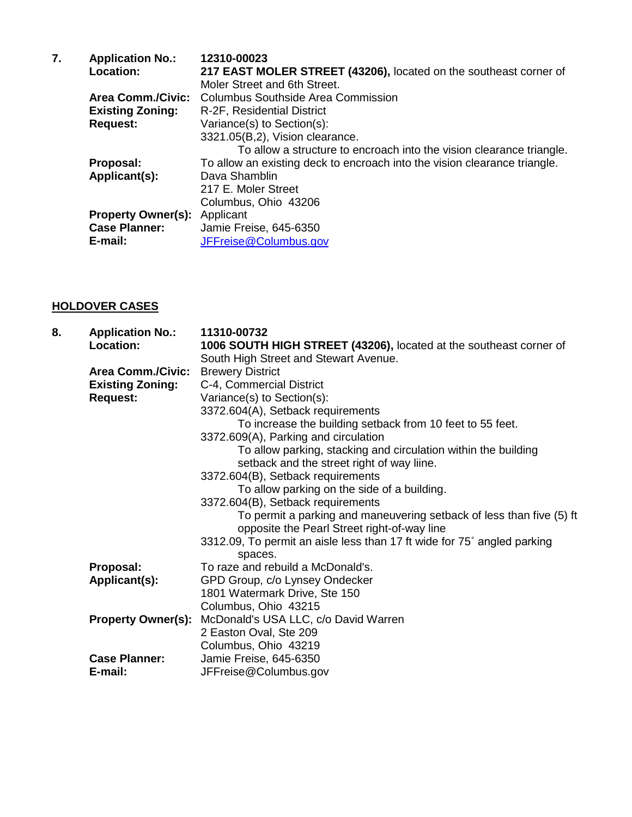| 7. | <b>Application No.:</b>   | 12310-00023                                                               |  |
|----|---------------------------|---------------------------------------------------------------------------|--|
|    | Location:                 | 217 EAST MOLER STREET (43206), located on the southeast corner of         |  |
|    |                           | Moler Street and 6th Street.                                              |  |
|    | <b>Area Comm./Civic:</b>  | Columbus Southside Area Commission                                        |  |
|    | <b>Existing Zoning:</b>   | R-2F, Residential District                                                |  |
|    | <b>Request:</b>           | Variance(s) to Section(s):                                                |  |
|    |                           | 3321.05(B,2), Vision clearance.                                           |  |
|    |                           | To allow a structure to encroach into the vision clearance triangle.      |  |
|    | Proposal:                 | To allow an existing deck to encroach into the vision clearance triangle. |  |
|    | Applicant(s):             | Dava Shamblin                                                             |  |
|    |                           | 217 E. Moler Street                                                       |  |
|    |                           | Columbus, Ohio 43206                                                      |  |
|    | <b>Property Owner(s):</b> | Applicant                                                                 |  |
|    | <b>Case Planner:</b>      | Jamie Freise, 645-6350                                                    |  |
|    | E-mail:                   | JFFreise@Columbus.gov                                                     |  |

## **HOLDOVER CASES**

| 8. | <b>Application No.:</b><br>Location:       | 11310-00732                                                                                                         |  |
|----|--------------------------------------------|---------------------------------------------------------------------------------------------------------------------|--|
|    |                                            | 1006 SOUTH HIGH STREET (43206), located at the southeast corner of                                                  |  |
|    |                                            | South High Street and Stewart Avenue.                                                                               |  |
|    | <b>Area Comm./Civic:</b>                   | <b>Brewery District</b>                                                                                             |  |
|    | <b>Existing Zoning:</b><br><b>Request:</b> | C-4, Commercial District                                                                                            |  |
|    |                                            | Variance(s) to Section(s):                                                                                          |  |
|    |                                            | 3372.604(A), Setback requirements                                                                                   |  |
|    |                                            | To increase the building setback from 10 feet to 55 feet.                                                           |  |
|    |                                            | 3372.609(A), Parking and circulation                                                                                |  |
|    |                                            | To allow parking, stacking and circulation within the building<br>setback and the street right of way liine.        |  |
|    |                                            | 3372.604(B), Setback requirements                                                                                   |  |
|    |                                            | To allow parking on the side of a building.                                                                         |  |
|    |                                            | 3372.604(B), Setback requirements                                                                                   |  |
|    |                                            | To permit a parking and maneuvering setback of less than five (5) ft<br>opposite the Pearl Street right-of-way line |  |
|    |                                            | 3312.09, To permit an aisle less than 17 ft wide for 75° angled parking                                             |  |
|    |                                            | spaces.                                                                                                             |  |
|    | Proposal:                                  | To raze and rebuild a McDonald's.                                                                                   |  |
|    | Applicant(s):                              | GPD Group, c/o Lynsey Ondecker                                                                                      |  |
|    |                                            | 1801 Watermark Drive, Ste 150                                                                                       |  |
|    |                                            | Columbus, Ohio 43215                                                                                                |  |
|    | <b>Property Owner(s):</b>                  | McDonald's USA LLC, c/o David Warren                                                                                |  |
|    |                                            | 2 Easton Oval, Ste 209                                                                                              |  |
|    |                                            | Columbus, Ohio 43219                                                                                                |  |
|    | <b>Case Planner:</b>                       | Jamie Freise, 645-6350                                                                                              |  |
|    | E-mail:                                    | JFFreise@Columbus.gov                                                                                               |  |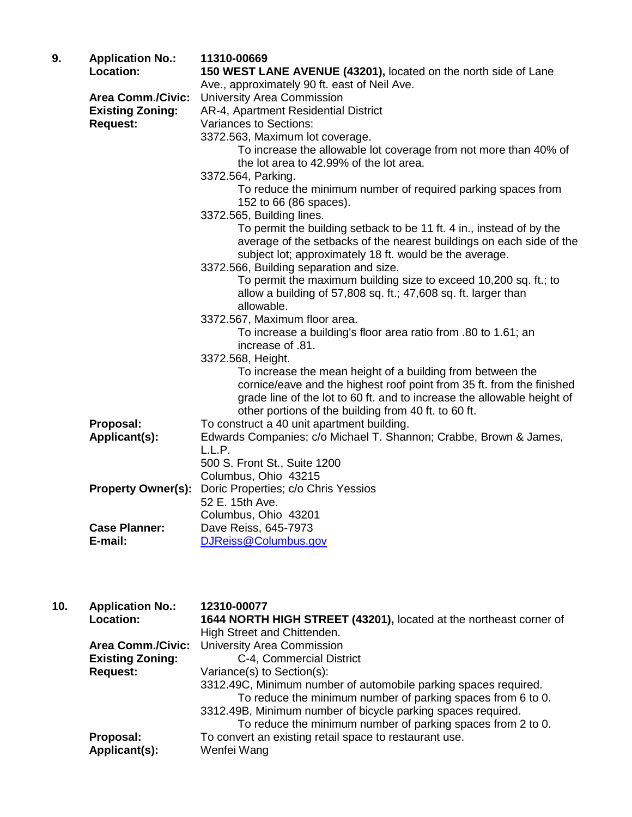| 9. | <b>Application No.:</b>   | 11310-00669                                                                                                                                                                                                                                                            |  |
|----|---------------------------|------------------------------------------------------------------------------------------------------------------------------------------------------------------------------------------------------------------------------------------------------------------------|--|
|    | Location:                 | 150 WEST LANE AVENUE (43201), located on the north side of Lane                                                                                                                                                                                                        |  |
|    | <b>Area Comm./Civic:</b>  | Ave., approximately 90 ft. east of Neil Ave.<br>University Area Commission                                                                                                                                                                                             |  |
|    | <b>Existing Zoning:</b>   | AR-4, Apartment Residential District                                                                                                                                                                                                                                   |  |
|    | <b>Request:</b>           | Variances to Sections:                                                                                                                                                                                                                                                 |  |
|    |                           | 3372.563, Maximum lot coverage.                                                                                                                                                                                                                                        |  |
|    |                           | To increase the allowable lot coverage from not more than 40% of                                                                                                                                                                                                       |  |
|    |                           | the lot area to 42.99% of the lot area.                                                                                                                                                                                                                                |  |
|    |                           | 3372.564, Parking.                                                                                                                                                                                                                                                     |  |
|    |                           | To reduce the minimum number of required parking spaces from<br>152 to 66 (86 spaces).                                                                                                                                                                                 |  |
|    |                           | 3372.565, Building lines.                                                                                                                                                                                                                                              |  |
|    |                           | To permit the building setback to be 11 ft. 4 in., instead of by the<br>average of the setbacks of the nearest buildings on each side of the<br>subject lot; approximately 18 ft. would be the average.                                                                |  |
|    |                           | 3372.566, Building separation and size.                                                                                                                                                                                                                                |  |
|    |                           | To permit the maximum building size to exceed 10,200 sq. ft.; to<br>allow a building of 57,808 sq. ft.; 47,608 sq. ft. larger than                                                                                                                                     |  |
|    |                           | allowable.                                                                                                                                                                                                                                                             |  |
|    |                           | 3372.567, Maximum floor area.                                                                                                                                                                                                                                          |  |
|    |                           | To increase a building's floor area ratio from .80 to 1.61; an<br>increase of .81.                                                                                                                                                                                     |  |
|    |                           | 3372.568, Height.                                                                                                                                                                                                                                                      |  |
|    |                           | To increase the mean height of a building from between the<br>cornice/eave and the highest roof point from 35 ft. from the finished<br>grade line of the lot to 60 ft. and to increase the allowable height of<br>other portions of the building from 40 ft. to 60 ft. |  |
|    | Proposal:                 | To construct a 40 unit apartment building.                                                                                                                                                                                                                             |  |
|    | Applicant(s):             | Edwards Companies; c/o Michael T. Shannon; Crabbe, Brown & James,                                                                                                                                                                                                      |  |
|    |                           | L.L.P.                                                                                                                                                                                                                                                                 |  |
|    |                           | 500 S. Front St., Suite 1200                                                                                                                                                                                                                                           |  |
|    |                           | Columbus, Ohio 43215                                                                                                                                                                                                                                                   |  |
|    | <b>Property Owner(s):</b> | Doric Properties; c/o Chris Yessios                                                                                                                                                                                                                                    |  |
|    |                           | 52 E. 15th Ave.                                                                                                                                                                                                                                                        |  |
|    |                           | Columbus, Ohio 43201                                                                                                                                                                                                                                                   |  |
|    | <b>Case Planner:</b>      | Dave Reiss, 645-7973                                                                                                                                                                                                                                                   |  |
|    | E-mail:                   | DJReiss@Columbus.gov                                                                                                                                                                                                                                                   |  |
|    |                           |                                                                                                                                                                                                                                                                        |  |

| 10. | <b>Application No.:</b><br>Location: | 12310-00077<br>1644 NORTH HIGH STREET (43201), located at the northeast corner of<br>High Street and Chittenden.                                                                                                                                              |
|-----|--------------------------------------|---------------------------------------------------------------------------------------------------------------------------------------------------------------------------------------------------------------------------------------------------------------|
|     | <b>Area Comm./Civic:</b>             | <b>University Area Commission</b>                                                                                                                                                                                                                             |
|     | <b>Existing Zoning:</b>              | C-4, Commercial District                                                                                                                                                                                                                                      |
|     | <b>Request:</b>                      | Variance(s) to Section(s):                                                                                                                                                                                                                                    |
|     |                                      | 3312.49C, Minimum number of automobile parking spaces required.<br>To reduce the minimum number of parking spaces from 6 to 0.<br>3312.49B, Minimum number of bicycle parking spaces required.<br>To reduce the minimum number of parking spaces from 2 to 0. |
|     | Proposal:<br>Applicant(s):           | To convert an existing retail space to restaurant use.<br>Wenfei Wang                                                                                                                                                                                         |